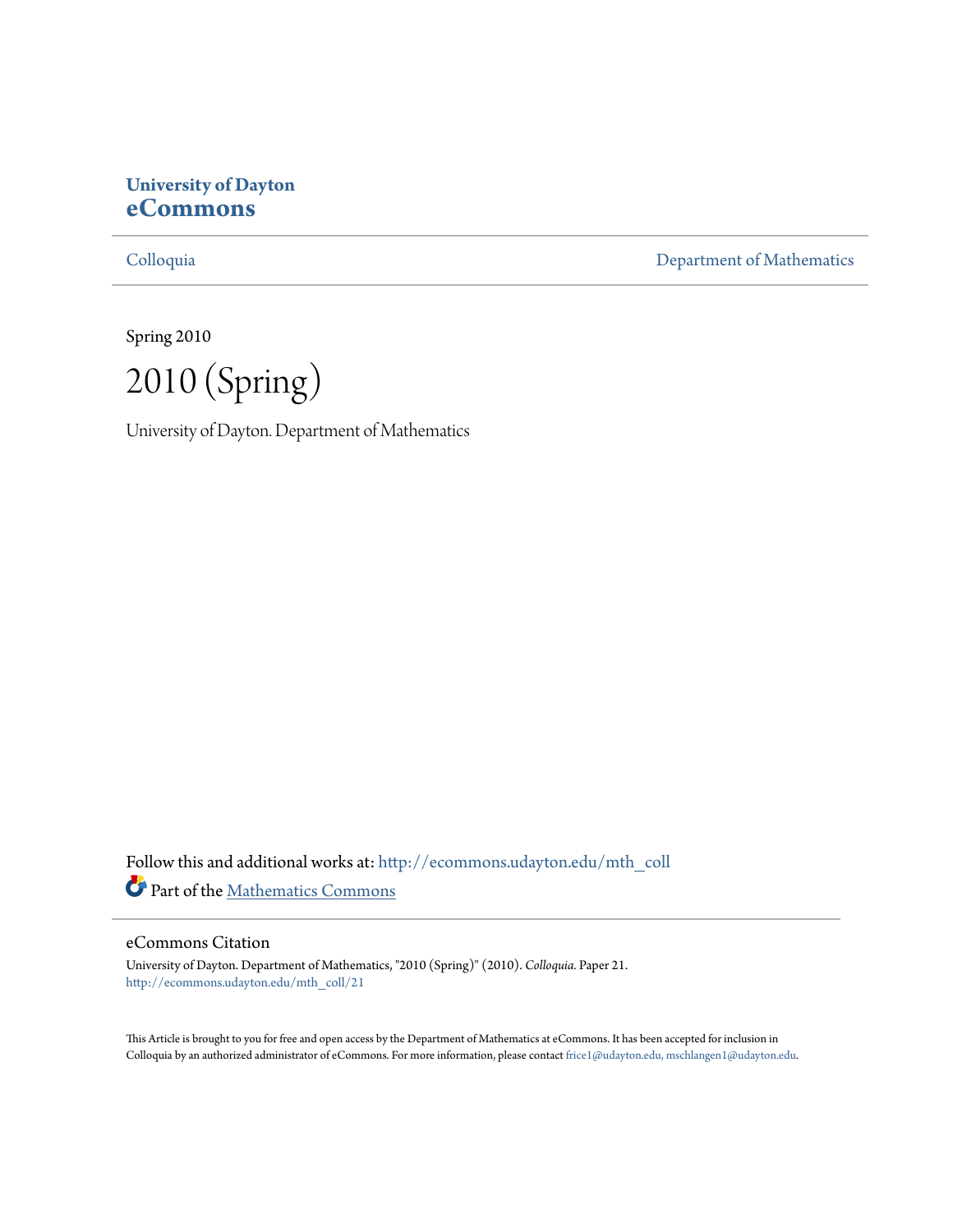# **University of Dayton [eCommons](http://ecommons.udayton.edu?utm_source=ecommons.udayton.edu%2Fmth_coll%2F21&utm_medium=PDF&utm_campaign=PDFCoverPages)**

[Colloquia](http://ecommons.udayton.edu/mth_coll?utm_source=ecommons.udayton.edu%2Fmth_coll%2F21&utm_medium=PDF&utm_campaign=PDFCoverPages) [Department of Mathematics](http://ecommons.udayton.edu/mth?utm_source=ecommons.udayton.edu%2Fmth_coll%2F21&utm_medium=PDF&utm_campaign=PDFCoverPages)

Spring 2010

2010 (Spring)

University of Dayton. Department of Mathematics

Follow this and additional works at: [http://ecommons.udayton.edu/mth\\_coll](http://ecommons.udayton.edu/mth_coll?utm_source=ecommons.udayton.edu%2Fmth_coll%2F21&utm_medium=PDF&utm_campaign=PDFCoverPages) Part of the [Mathematics Commons](http://network.bepress.com/hgg/discipline/174?utm_source=ecommons.udayton.edu%2Fmth_coll%2F21&utm_medium=PDF&utm_campaign=PDFCoverPages)

#### eCommons Citation

University of Dayton. Department of Mathematics, "2010 (Spring)" (2010). *Colloquia.* Paper 21. [http://ecommons.udayton.edu/mth\\_coll/21](http://ecommons.udayton.edu/mth_coll/21?utm_source=ecommons.udayton.edu%2Fmth_coll%2F21&utm_medium=PDF&utm_campaign=PDFCoverPages)

This Article is brought to you for free and open access by the Department of Mathematics at eCommons. It has been accepted for inclusion in Colloquia by an authorized administrator of eCommons. For more information, please contact [frice1@udayton.edu, mschlangen1@udayton.edu.](mailto:frice1@udayton.edu,%20mschlangen1@udayton.edu)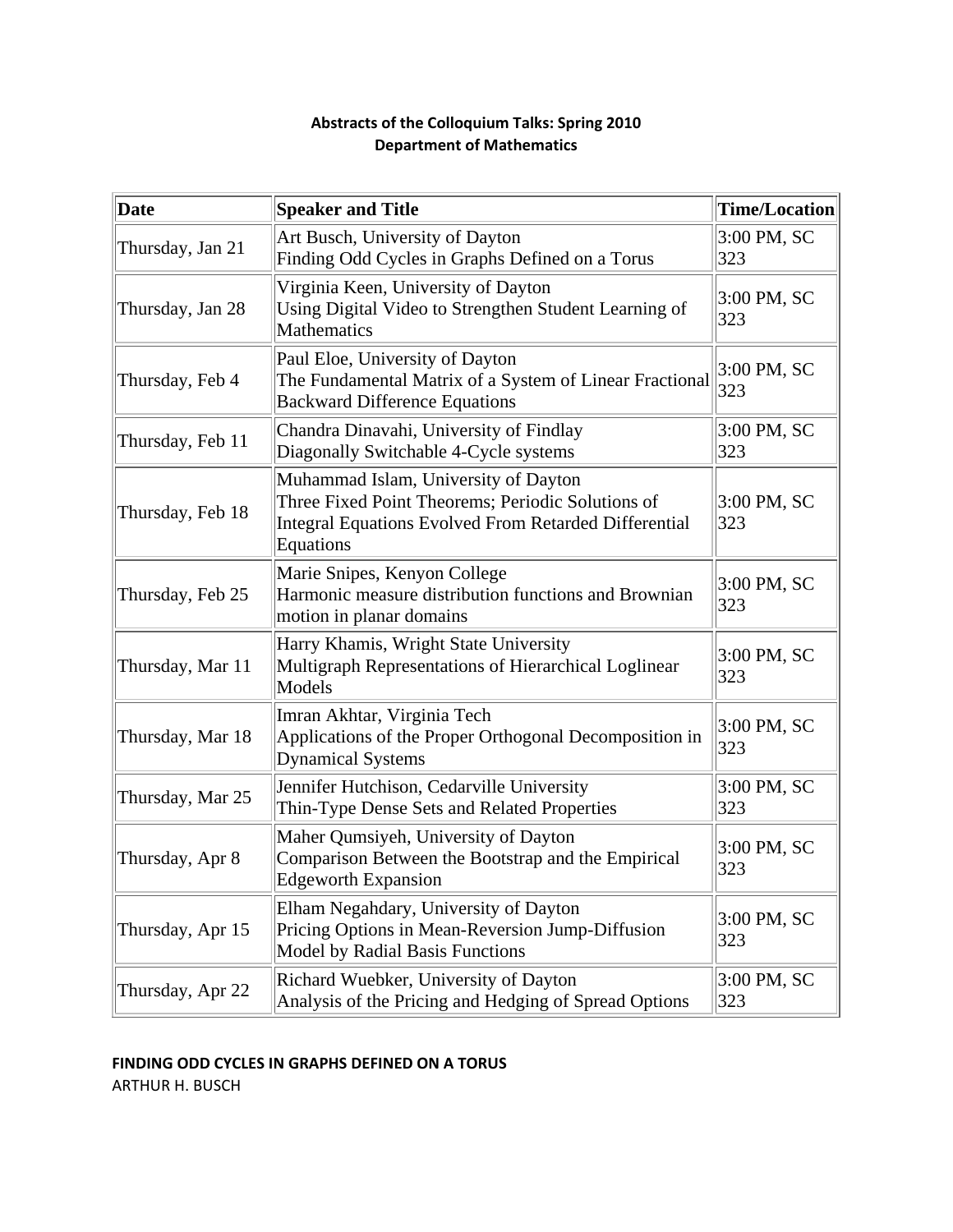| Date             | <b>Speaker and Title</b>                                                                                                                                               | <b>Time/Location</b> |
|------------------|------------------------------------------------------------------------------------------------------------------------------------------------------------------------|----------------------|
| Thursday, Jan 21 | Art Busch, University of Dayton<br>Finding Odd Cycles in Graphs Defined on a Torus                                                                                     | $3:00$ PM, SC<br>323 |
| Thursday, Jan 28 | Virginia Keen, University of Dayton<br>Using Digital Video to Strengthen Student Learning of<br><b>Mathematics</b>                                                     | $3:00$ PM, SC<br>323 |
| Thursday, Feb 4  | Paul Eloe, University of Dayton<br>The Fundamental Matrix of a System of Linear Fractional<br><b>Backward Difference Equations</b>                                     | 3:00 PM, SC<br>323   |
| Thursday, Feb 11 | Chandra Dinavahi, University of Findlay<br>Diagonally Switchable 4-Cycle systems                                                                                       | $3:00$ PM, SC<br>323 |
| Thursday, Feb 18 | Muhammad Islam, University of Dayton<br>Three Fixed Point Theorems; Periodic Solutions of<br><b>Integral Equations Evolved From Retarded Differential</b><br>Equations | 3:00 PM, SC<br>323   |
| Thursday, Feb 25 | Marie Snipes, Kenyon College<br>Harmonic measure distribution functions and Brownian<br>motion in planar domains                                                       | 3:00 PM, SC<br>323   |
| Thursday, Mar 11 | Harry Khamis, Wright State University<br>Multigraph Representations of Hierarchical Loglinear<br>Models                                                                | 3:00 PM, SC<br>323   |
| Thursday, Mar 18 | Imran Akhtar, Virginia Tech<br>Applications of the Proper Orthogonal Decomposition in<br><b>Dynamical Systems</b>                                                      | 3:00 PM, SC<br>323   |
| Thursday, Mar 25 | Jennifer Hutchison, Cedarville University<br>Thin-Type Dense Sets and Related Properties                                                                               | $3:00$ PM, SC<br>323 |
| Thursday, Apr 8  | Maher Qumsiyeh, University of Dayton<br>Comparison Between the Bootstrap and the Empirical<br><b>Edgeworth Expansion</b>                                               | 3:00 PM, SC<br>323   |
| Thursday, Apr 15 | Elham Negahdary, University of Dayton<br>Pricing Options in Mean-Reversion Jump-Diffusion<br><b>Model by Radial Basis Functions</b>                                    | $3:00$ PM, SC<br>323 |
| Thursday, Apr 22 | Richard Wuebker, University of Dayton<br>Analysis of the Pricing and Hedging of Spread Options                                                                         | $3:00$ PM, SC<br>323 |

# **Abstracts of the Colloquium Talks: Spring 2010 Department of Mathematics**

# **FINDING ODD CYCLES IN GRAPHS DEFINED ON A TORUS**

ARTHUR H. BUSCH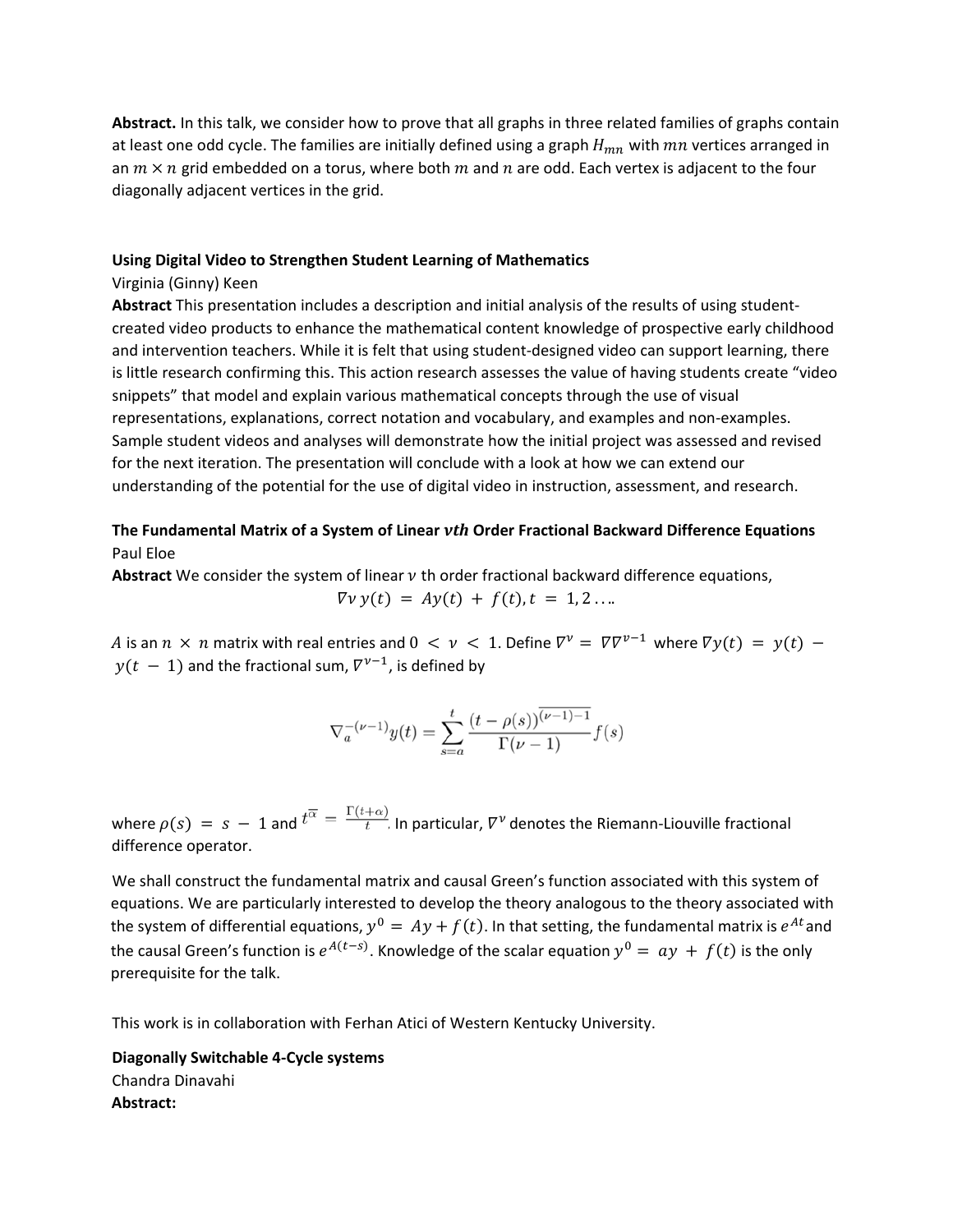**Abstract.** In this talk, we consider how to prove that all graphs in three related families of graphs contain at least one odd cycle. The families are initially defined using a graph  $H_{mn}$  with  $mn$  vertices arranged in an  $m \times n$  grid embedded on a torus, where both m and n are odd. Each vertex is adjacent to the four diagonally adjacent vertices in the grid.

#### **Using Digital Video to Strengthen Student Learning of Mathematics**

#### Virginia (Ginny) Keen

**Abstract** This presentation includes a description and initial analysis of the results of using student‐ created video products to enhance the mathematical content knowledge of prospective early childhood and intervention teachers. While it is felt that using student-designed video can support learning, there is little research confirming this. This action research assesses the value of having students create "video snippets" that model and explain various mathematical concepts through the use of visual representations, explanations, correct notation and vocabulary, and examples and non‐examples. Sample student videos and analyses will demonstrate how the initial project was assessed and revised for the next iteration. The presentation will conclude with a look at how we can extend our understanding of the potential for the use of digital video in instruction, assessment, and research.

# **The Fundamental Matrix of a System of Linear** *νth* **Order Fractional Backward Difference Equations** Paul Eloe

**Abstract** We consider the system of linear  $\nu$  th order fractional backward difference equations,

$$
\nabla v y(t) = Ay(t) + f(t), t = 1, 2 \ldots
$$

A is an  $n \times n$  matrix with real entries and  $0 < v < 1$ . Define  $\nabla^v = \nabla \nabla^{v-1}$  where  $\nabla y(t) = y(t)$  $y(t - 1)$  and the fractional sum,  $\nabla^{\nu-1}$ , is defined by

$$
\nabla_a^{-(\nu-1)}y(t) = \sum_{s=a}^t \frac{(t-\rho(s))^{\overline{(\nu-1)-1}}}{\Gamma(\nu-1)} f(s)
$$

where  $\rho(s) = s - 1$  and  $t^{\overline{\alpha}} = \frac{\Gamma(t+\alpha)}{t}$  In particular,  $\nabla^{\gamma}$  denotes the Riemann-Liouville fractional difference operator.

We shall construct the fundamental matrix and causal Green's function associated with this system of equations. We are particularly interested to develop the theory analogous to the theory associated with the system of differential equations,  $y^0 = Ay + f(t)$ . In that setting, the fundamental matrix is  $e^{At}$  and the causal Green's function is  $e^{A(t-s)}$ . Knowledge of the scalar equation  $y^0 = ay + f(t)$  is the only prerequisite for the talk.

This work is in collaboration with Ferhan Atici of Western Kentucky University.

**Diagonally Switchable 4‐Cycle systems** Chandra Dinavahi **Abstract:**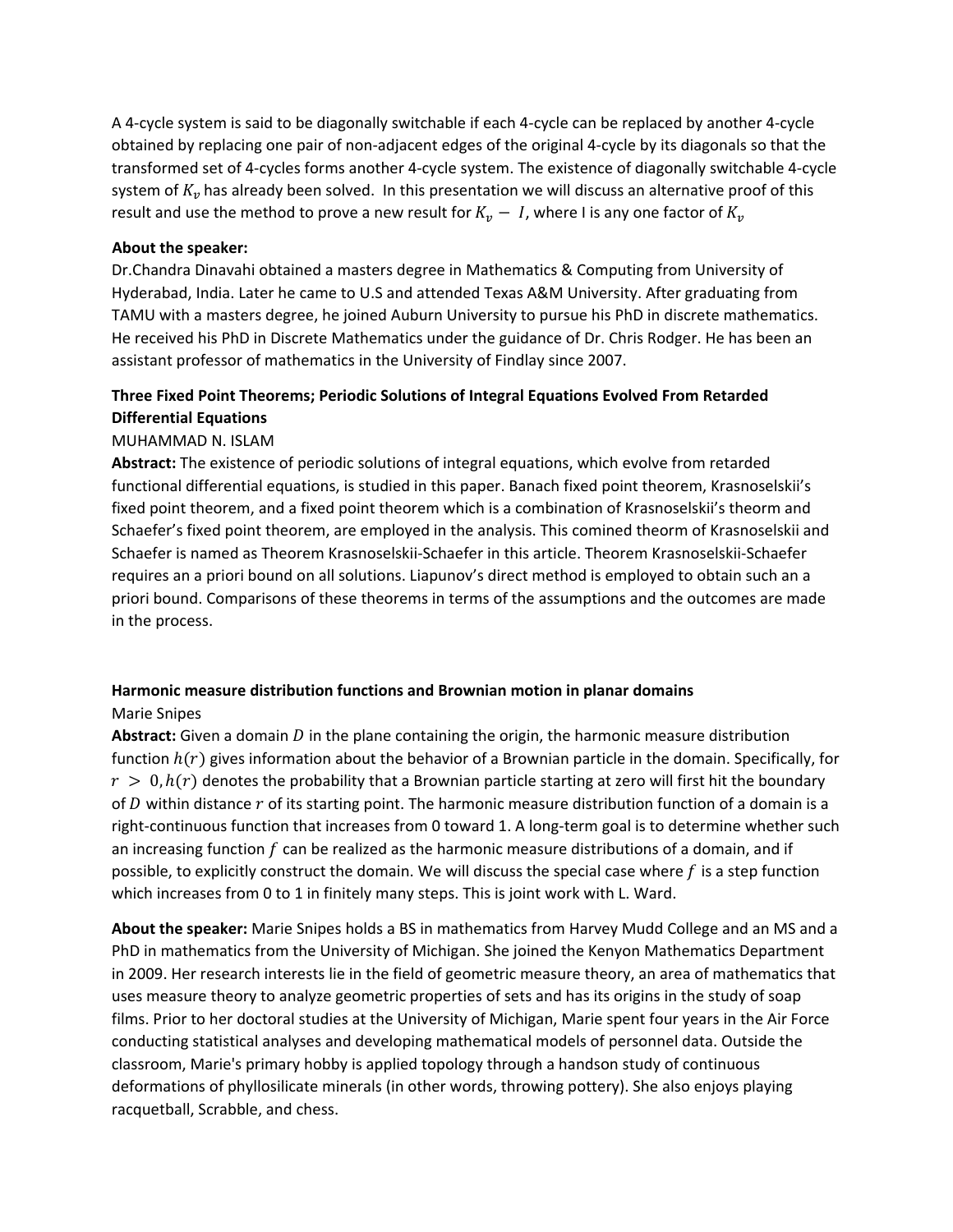A 4‐cycle system is said to be diagonally switchable if each 4‐cycle can be replaced by another 4‐cycle obtained by replacing one pair of non‐adjacent edges of the original 4‐cycle by its diagonals so that the transformed set of 4‐cycles forms another 4‐cycle system. The existence of diagonally switchable 4‐cycle system of  $K_n$  has already been solved. In this presentation we will discuss an alternative proof of this result and use the method to prove a new result for  $K_v - I$ , where I is any one factor of  $K_v$ 

#### **About the speaker:**

Dr.Chandra Dinavahi obtained a masters degree in Mathematics & Computing from University of Hyderabad, India. Later he came to U.S and attended Texas A&M University. After graduating from TAMU with a masters degree, he joined Auburn University to pursue his PhD in discrete mathematics. He received his PhD in Discrete Mathematics under the guidance of Dr. Chris Rodger. He has been an assistant professor of mathematics in the University of Findlay since 2007.

# **Three Fixed Point Theorems; Periodic Solutions of Integral Equations Evolved From Retarded Differential Equations**

## MUHAMMAD N. ISLAM

**Abstract:** The existence of periodic solutions of integral equations, which evolve from retarded functional differential equations, is studied in this paper. Banach fixed point theorem, Krasnoselskii's fixed point theorem, and a fixed point theorem which is a combination of Krasnoselskii's theorm and Schaefer's fixed point theorem, are employed in the analysis. This comined theorm of Krasnoselskii and Schaefer is named as Theorem Krasnoselskii‐Schaefer in this article. Theorem Krasnoselskii‐Schaefer requires an a priori bound on all solutions. Liapunov's direct method is employed to obtain such an a priori bound. Comparisons of these theorems in terms of the assumptions and the outcomes are made in the process.

## **Harmonic measure distribution functions and Brownian motion in planar domains** Marie Snipes

Abstract: Given a domain *D* in the plane containing the origin, the harmonic measure distribution function  $h(r)$  gives information about the behavior of a Brownian particle in the domain. Specifically, for  $r > 0$ ,  $h(r)$  denotes the probability that a Brownian particle starting at zero will first hit the boundary of  $D$  within distance  $r$  of its starting point. The harmonic measure distribution function of a domain is a right-continuous function that increases from 0 toward 1. A long-term goal is to determine whether such an increasing function  $f$  can be realized as the harmonic measure distributions of a domain, and if possible, to explicitly construct the domain. We will discuss the special case where  $f$  is a step function which increases from 0 to 1 in finitely many steps. This is joint work with L. Ward.

**About the speaker:** Marie Snipes holds a BS in mathematics from Harvey Mudd College and an MS and a PhD in mathematics from the University of Michigan. She joined the Kenyon Mathematics Department in 2009. Her research interests lie in the field of geometric measure theory, an area of mathematics that uses measure theory to analyze geometric properties of sets and has its origins in the study of soap films. Prior to her doctoral studies at the University of Michigan, Marie spent four years in the Air Force conducting statistical analyses and developing mathematical models of personnel data. Outside the classroom, Marie's primary hobby is applied topology through a handson study of continuous deformations of phyllosilicate minerals (in other words, throwing pottery). She also enjoys playing racquetball, Scrabble, and chess.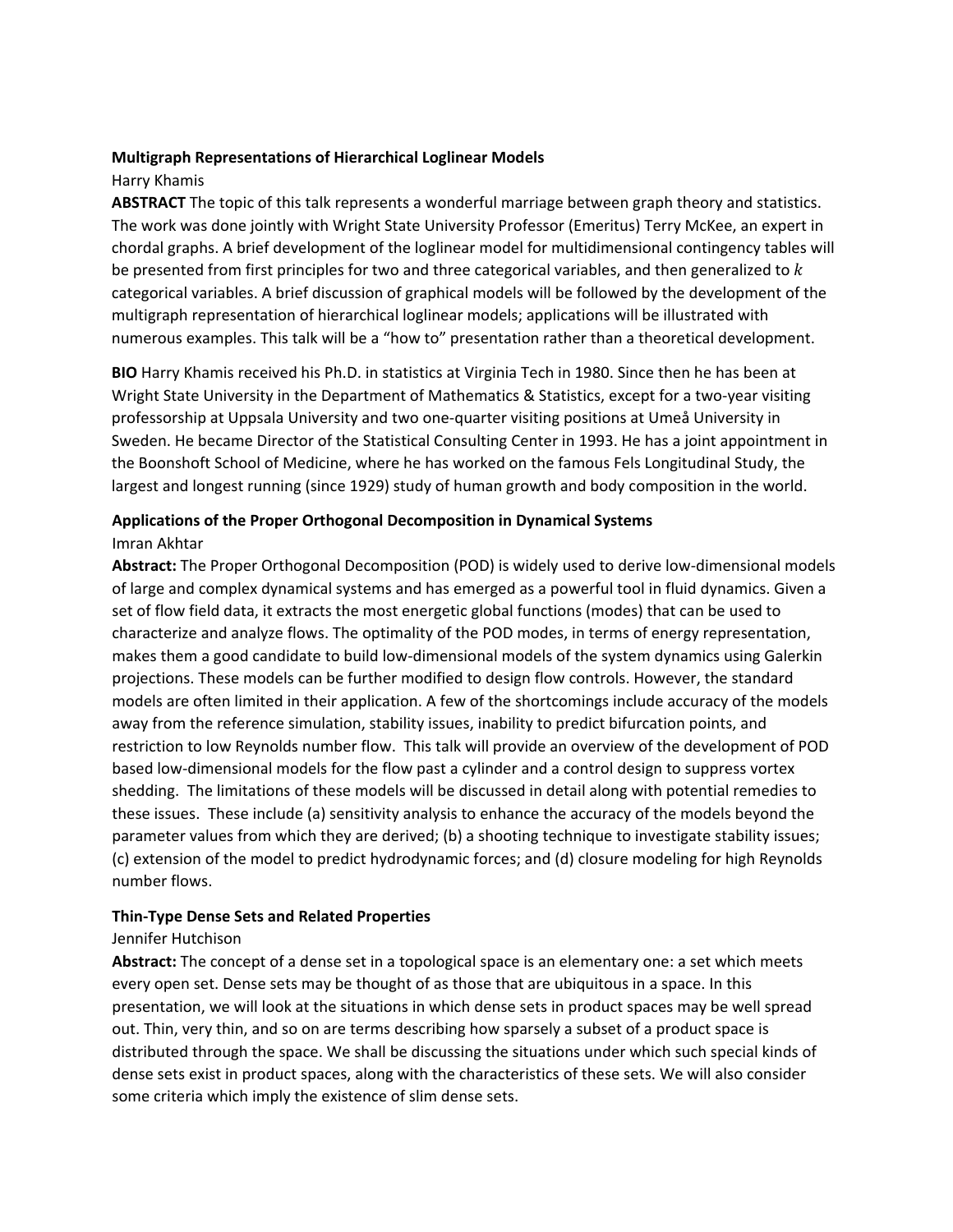### **Multigraph Representations of Hierarchical Loglinear Models**

#### Harry Khamis

**ABSTRACT** The topic of this talk represents a wonderful marriage between graph theory and statistics. The work was done jointly with Wright State University Professor (Emeritus) Terry McKee, an expert in chordal graphs. A brief development of the loglinear model for multidimensional contingency tables will be presented from first principles for two and three categorical variables, and then generalized to  $k$ categorical variables. A brief discussion of graphical models will be followed by the development of the multigraph representation of hierarchical loglinear models; applications will be illustrated with numerous examples. This talk will be a "how to" presentation rather than a theoretical development.

**BIO** Harry Khamis received his Ph.D. in statistics at Virginia Tech in 1980. Since then he has been at Wright State University in the Department of Mathematics & Statistics, except for a two-year visiting professorship at Uppsala University and two one‐quarter visiting positions at Umeå University in Sweden. He became Director of the Statistical Consulting Center in 1993. He has a joint appointment in the Boonshoft School of Medicine, where he has worked on the famous Fels Longitudinal Study, the largest and longest running (since 1929) study of human growth and body composition in the world.

# **Applications of the Proper Orthogonal Decomposition in Dynamical Systems**

#### Imran Akhtar

**Abstract:** The Proper Orthogonal Decomposition (POD) is widely used to derive low‐dimensional models of large and complex dynamical systems and has emerged as a powerful tool in fluid dynamics. Given a set of flow field data, it extracts the most energetic global functions (modes) that can be used to characterize and analyze flows. The optimality of the POD modes, in terms of energy representation, makes them a good candidate to build low‐dimensional models of the system dynamics using Galerkin projections. These models can be further modified to design flow controls. However, the standard models are often limited in their application. A few of the shortcomings include accuracy of the models away from the reference simulation, stability issues, inability to predict bifurcation points, and restriction to low Reynolds number flow. This talk will provide an overview of the development of POD based low‐dimensional models for the flow past a cylinder and a control design to suppress vortex shedding. The limitations of these models will be discussed in detail along with potential remedies to these issues. These include (a) sensitivity analysis to enhance the accuracy of the models beyond the parameter values from which they are derived; (b) a shooting technique to investigate stability issues; (c) extension of the model to predict hydrodynamic forces; and (d) closure modeling for high Reynolds number flows.

# **Thin‐Type Dense Sets and Related Properties**

# Jennifer Hutchison

**Abstract:** The concept of a dense set in a topological space is an elementary one: a set which meets every open set. Dense sets may be thought of as those that are ubiquitous in a space. In this presentation, we will look at the situations in which dense sets in product spaces may be well spread out. Thin, very thin, and so on are terms describing how sparsely a subset of a product space is distributed through the space. We shall be discussing the situations under which such special kinds of dense sets exist in product spaces, along with the characteristics of these sets. We will also consider some criteria which imply the existence of slim dense sets.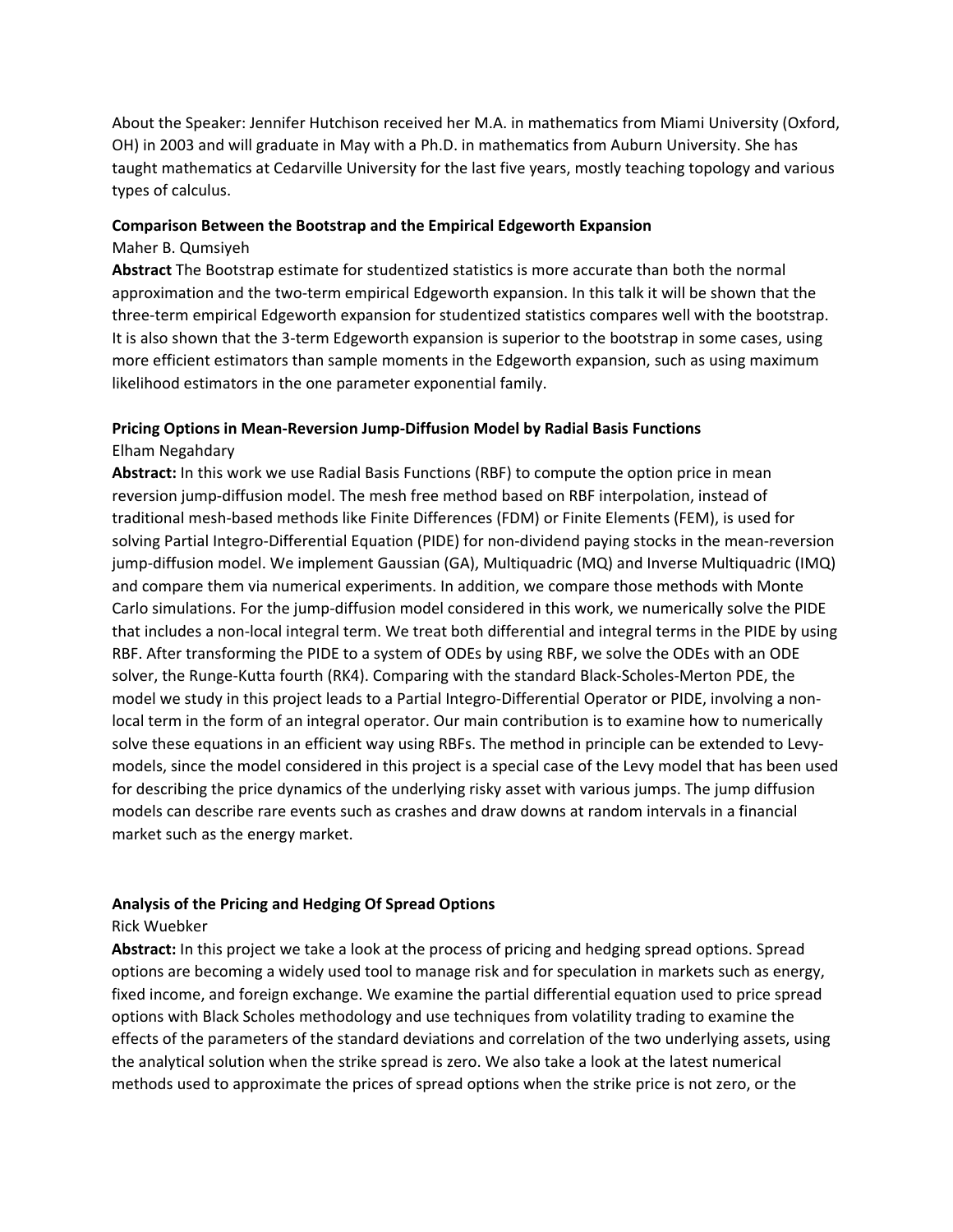About the Speaker: Jennifer Hutchison received her M.A. in mathematics from Miami University (Oxford, OH) in 2003 and will graduate in May with a Ph.D. in mathematics from Auburn University. She has taught mathematics at Cedarville University for the last five years, mostly teaching topology and various types of calculus.

#### **Comparison Between the Bootstrap and the Empirical Edgeworth Expansion**

#### Maher B. Qumsiyeh

**Abstract** The Bootstrap estimate for studentized statistics is more accurate than both the normal approximation and the two-term empirical Edgeworth expansion. In this talk it will be shown that the three‐term empirical Edgeworth expansion for studentized statistics compares well with the bootstrap. It is also shown that the 3‐term Edgeworth expansion is superior to the bootstrap in some cases, using more efficient estimators than sample moments in the Edgeworth expansion, such as using maximum likelihood estimators in the one parameter exponential family.

### **Pricing Options in Mean‐Reversion Jump‐Diffusion Model by Radial Basis Functions** Elham Negahdary

**Abstract:** In this work we use Radial Basis Functions (RBF) to compute the option price in mean reversion jump‐diffusion model. The mesh free method based on RBF interpolation, instead of traditional mesh‐based methods like Finite Differences (FDM) or Finite Elements (FEM), is used for solving Partial Integro‐Differential Equation (PIDE) for non‐dividend paying stocks in the mean‐reversion jump‐diffusion model. We implement Gaussian (GA), Multiquadric (MQ) and Inverse Multiquadric (IMQ) and compare them via numerical experiments. In addition, we compare those methods with Monte Carlo simulations. For the jump‐diffusion model considered in this work, we numerically solve the PIDE that includes a non‐local integral term. We treat both differential and integral terms in the PIDE by using RBF. After transforming the PIDE to a system of ODEs by using RBF, we solve the ODEs with an ODE solver, the Runge‐Kutta fourth (RK4). Comparing with the standard Black‐Scholes‐Merton PDE, the model we study in this project leads to a Partial Integro-Differential Operator or PIDE, involving a nonlocal term in the form of an integral operator. Our main contribution is to examine how to numerically solve these equations in an efficient way using RBFs. The method in principle can be extended to Levy‐ models, since the model considered in this project is a special case of the Levy model that has been used for describing the price dynamics of the underlying risky asset with various jumps. The jump diffusion models can describe rare events such as crashes and draw downs at random intervals in a financial market such as the energy market.

#### **Analysis of the Pricing and Hedging Of Spread Options**

#### Rick Wuebker

**Abstract:** In this project we take a look at the process of pricing and hedging spread options. Spread options are becoming a widely used tool to manage risk and for speculation in markets such as energy, fixed income, and foreign exchange. We examine the partial differential equation used to price spread options with Black Scholes methodology and use techniques from volatility trading to examine the effects of the parameters of the standard deviations and correlation of the two underlying assets, using the analytical solution when the strike spread is zero. We also take a look at the latest numerical methods used to approximate the prices of spread options when the strike price is not zero, or the